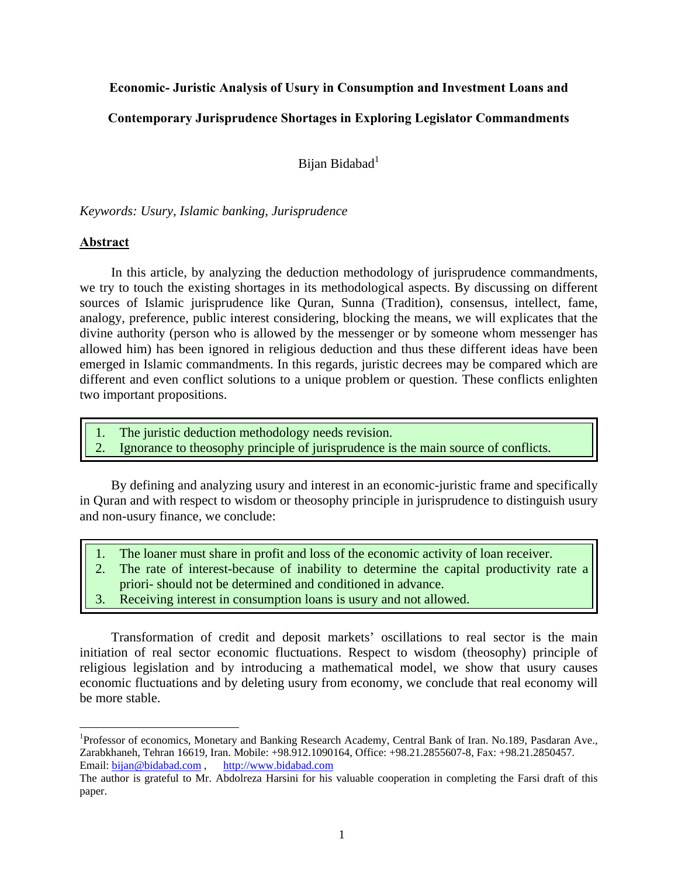# **Economic- Juristic Analysis of Usury in Consumption and Investment Loans and**

# **Contemporary Jurisprudence Shortages in Exploring Legislator Commandments**

Bijan Bidabad<sup>1</sup>

*Keywords: Usury, Islamic banking, Jurisprudence* 

# **Abstract**

1

In this article, by analyzing the deduction methodology of jurisprudence commandments, we try to touch the existing shortages in its methodological aspects. By discussing on different sources of Islamic jurisprudence like Quran, Sunna (Tradition), consensus, intellect, fame, analogy, preference, public interest considering, blocking the means, we will explicates that the divine authority (person who is allowed by the messenger or by someone whom messenger has allowed him) has been ignored in religious deduction and thus these different ideas have been emerged in Islamic commandments. In this regards, juristic decrees may be compared which are different and even conflict solutions to a unique problem or question. These conflicts enlighten two important propositions.

- 1. The juristic deduction methodology needs revision.
- 2. Ignorance to theosophy principle of jurisprudence is the main source of conflicts.

By defining and analyzing usury and interest in an economic-juristic frame and specifically in Quran and with respect to wisdom or theosophy principle in jurisprudence to distinguish usury and non-usury finance, we conclude:

- 1. The loaner must share in profit and loss of the economic activity of loan receiver.
- 2. The rate of interest-because of inability to determine the capital productivity rate a priori- should not be determined and conditioned in advance.
- 3. Receiving interest in consumption loans is usury and not allowed.

Transformation of credit and deposit markets' oscillations to real sector is the main initiation of real sector economic fluctuations. Respect to wisdom (theosophy) principle of religious legislation and by introducing a mathematical model, we show that usury causes economic fluctuations and by deleting usury from economy, we conclude that real economy will be more stable.

<sup>&</sup>lt;sup>1</sup>Professor of economics, Monetary and Banking Research Academy, Central Bank of Iran. No.189, Pasdaran Ave., Zarabkhaneh, Tehran 16619, Iran. Mobile: +98.912.1090164, Office: +98.21.2855607-8, Fax: +98.21.2850457.<br>Email: bijan@bidabad.com, http://www.bidabad.com Email: bijan@bidabad.com,

The author is grateful to Mr. Abdolreza Harsini for his valuable cooperation in completing the Farsi draft of this paper.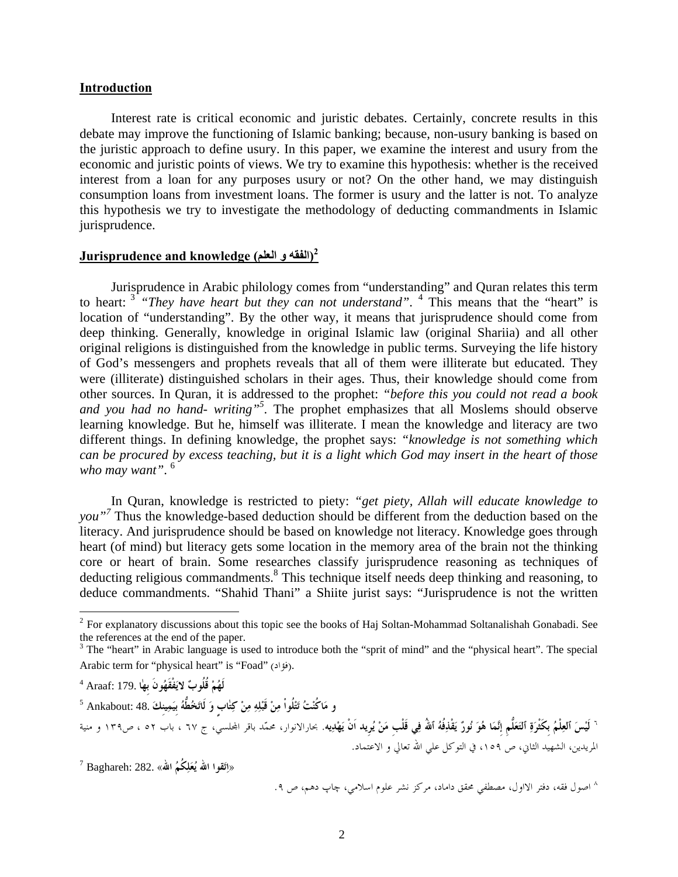### **Introduction**

Interest rate is critical economic and juristic debates. Certainly, concrete results in this debate may improve the functioning of Islamic banking; because, non-usury banking is based on the juristic approach to define usury. In this paper, we examine the interest and usury from the economic and juristic points of views. We try to examine this hypothesis: whether is the received interest from a loan for any purposes usury or not? On the other hand, we may distinguish consumption loans from investment loans. The former is usury and the latter is not. To analyze this hypothesis we try to investigate the methodology of deducting commandments in Islamic jurisprudence.

# **(الفقه و العلم) knowledge and Jurisprudence 2**

Jurisprudence in Arabic philology comes from "understanding" and Quran relates this term to heart: <sup>3</sup> "They have heart but they can not understand". <sup>4</sup> This means that the "heart" is location of "understanding". By the other way, it means that jurisprudence should come from deep thinking. Generally, knowledge in original Islamic law (original Shariia) and all other original religions is distinguished from the knowledge in public terms. Surveying the life history of God's messengers and prophets reveals that all of them were illiterate but educated. They were (illiterate) distinguished scholars in their ages. Thus, their knowledge should come from other sources. In Quran, it is addressed to the prophet: *"before this you could not read a book*  and you had no hand- writing"<sup>5</sup>. The prophet emphasizes that all Moslems should observe learning knowledge. But he, himself was illiterate. I mean the knowledge and literacy are two different things. In defining knowledge, the prophet says: *"knowledge is not something which can be procured by excess teaching, but it is a light which God may insert in the heart of those who may want"*. <sup>6</sup>

In Quran, knowledge is restricted to piety: *"get piety, Allah will educate knowledge to*  you"<sup>7</sup> Thus the knowledge-based deduction should be different from the deduction based on the literacy. And jurisprudence should be based on knowledge not literacy. Knowledge goes through heart (of mind) but literacy gets some location in the memory area of the brain not the thinking core or heart of brain. Some researches classify jurisprudence reasoning as techniques of deducting religious commandments.<sup>8</sup> This technique itself needs deep thinking and reasoning, to deduce commandments. "Shahid Thani" a Shiite jurist says: "Jurisprudence is not the written

 $\overline{a}$ 

` لَيْسَ ٱلعِلْمُ بكَثْرَةِ ٱلتَعَلُّم إنَّمَا هُوَ نُورٌ يَقْذِفُهُ ٱللهُ فِي قَلْب مَنْ يُريد اَنْ يَهْدِيه. بحارالانوار، محمّد باقر المحلسيّ، ج ٦٧ ، اب ٥٢ ، ص١٣٩ و منية المريدين، الشهيد الثاني، ص ،١٥٩ في التوكل علي االله تعالي و الاعتماد.

**«اِتَقوا االله يُعَلِكُمُ االله»** 282. :Baghareh <sup>7</sup>

اصول فقه، دفتر الااول، مصطفي محقق داماد، مركز نشر علوم اسلامي، چاپ دهم، ص .٩ <sup>٨</sup>

 $2^2$  For explanatory discussions about this topic see the books of Haj Soltan-Mohammad Soltanalishah Gonabadi. See the references at the end of the paper.<br><sup>3</sup> The "heart" in Arabic language is used to introduce both the "sprit of mind" and the "physical heart". The special

Arabic term for "physical heart" is "Foad" (فؤاد).

<sup>4</sup> **لَهُمْ قُلُوبٌ لايَفْقَهُونَ بِهٰا** 179. :Araaf

**و مَاكُنْتُ تَتْلُواْ مِنْ قَبْلِهِ مِنْ كِتٰابٍٍ وَ لَاتَخُطُّهُ بِيَمِينِكَ** 48. :Ankabout <sup>5</sup>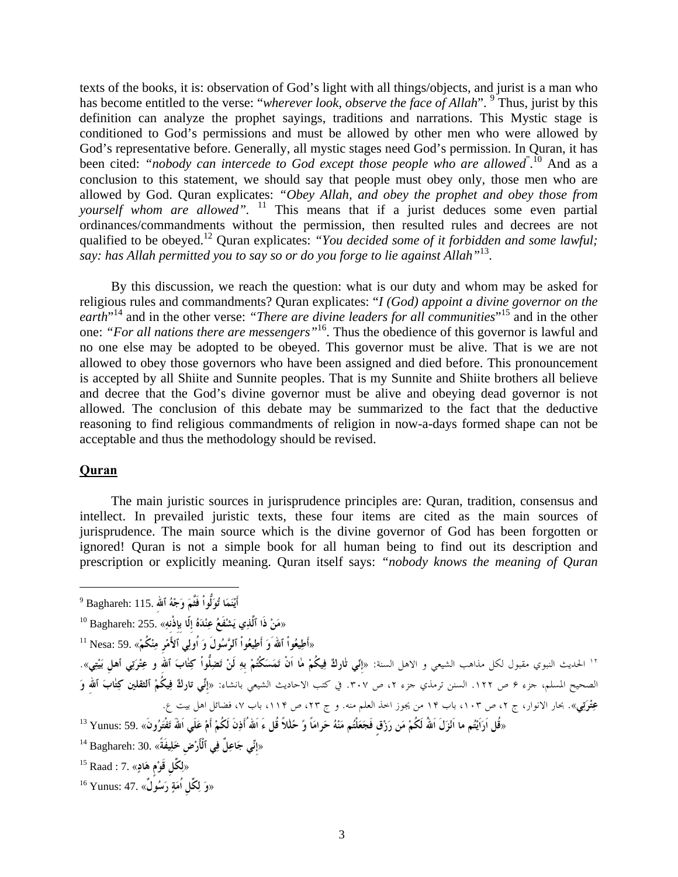texts of the books, it is: observation of God's light with all things/objects, and jurist is a man who has become entitled to the verse: "*wherever look, observe the face of Allah*". <sup>9</sup> Thus, jurist by this definition can analyze the prophet sayings, traditions and narrations. This Mystic stage is conditioned to God's permissions and must be allowed by other men who were allowed by God's representative before. Generally, all mystic stages need God's permission. In Quran, it has been cited: "nobody can intercede to God except those people who are allowed<sup>" 10</sup> And as a conclusion to this statement, we should say that people must obey only, those men who are allowed by God. Quran explicates: *"Obey Allah, and obey the prophet and obey those from yourself whom are allowed".* <sup>11</sup> This means that if a jurist deduces some even partial ordinances/commandments without the permission, then resulted rules and decrees are not qualified to be obeyed.12 Quran explicates: *"You decided some of it forbidden and some lawful; say: has Allah permitted you to say so or do you forge to lie against Allah"*13.

By this discussion, we reach the question: what is our duty and whom may be asked for religious rules and commandments? Quran explicates: "*I (God) appoint a divine governor on the*  earth<sup>"14</sup> and in the other verse: "There are divine leaders for all communities"<sup>15</sup> and in the other one: *"For all nations there are messengers"*16. Thus the obedience of this governor is lawful and no one else may be adopted to be obeyed. This governor must be alive. That is we are not allowed to obey those governors who have been assigned and died before. This pronouncement is accepted by all Shiite and Sunnite peoples. That is my Sunnite and Shiite brothers all believe and decree that the God's divine governor must be alive and obeying dead governor is not allowed. The conclusion of this debate may be summarized to the fact that the deductive reasoning to find religious commandments of religion in now-a-days formed shape can not be acceptable and thus the methodology should be revised.

## **Quran**

1

The main juristic sources in jurisprudence principles are: Quran, tradition, consensus and intellect. In prevailed juristic texts, these four items are cited as the main sources of jurisprudence. The main source which is the divine governor of God has been forgotten or ignored! Quran is not a simple book for all human being to find out its description and prescription or explicitly meaning. Quran itself says: *"nobody knows the meaning of Quran* 

9 **أَيْنَمَا تُوَلُّواْ فَثَّمَ وَجْهُ ٱاللهِ** 115. :Baghareh «**مَنْ ذَا ٱلَّذِي يَشْفَعُ عِنْدَهُ إِلّا بِإِذْنِهِ»** 255. :Baghareh 10 «**أَطِيعُواْ ٱاللهَوَ أَطِيعُواْ ٱلرَّسُولَ وَ اُولِي ٱلأَمْرِ مِنْكُمْ**» 59. :Nesa 11 ١٢ الحديث النبوي مقبول لكل مذاهب الشيعي و الاهل السنة: «إلّي <del>ل</del>ثاركٌ فِيكُمْ ما اَنْ تَمَسَكْتُمْ بهِ لَنْ تَضلِّلُواْ كِتٰابَ ٱلله و عِتْرَتِي أهل بَيْتِي». الصحيح المسلم، جزء ۶ ص .۱۲۲ السنن ترمذي جزء ،۲ ص .۳۰۷ في كتب الاحاديث الشيعي بانشاء: «**إِنِّي تاركٌ فِيكُمْ ٱلثقلين كِتٰابَ ٱاللهِ وَ** عِ**تْرَتِي**». بحار الانوار، ج ۲، ص ۱۰۳، باب ۱۴ من يجوز اخذ العلم منه. و ج ۲۳، ص ۱۱۴، باب ۷، فضائل اهل بيت ع. «قُل اَرَانِيْتُم ما اَنْزَلَ اللهُ لَكُمْ مَن رَزْقٍ فَجَعَلْتُم مَنْهُ حَرامَاً وً حَللاً قُل ءَ اللهُ أَذِنَ لَكُمْ أَمْ عَلَى اللهُ تَفْتَرُونَ» .59 Yunus: 59 «**إِنِّي جَاعِلٌ فِي ٱلْأََرْضِ خَلِيفَةً**» 30. :Baghareh 14 «**لِكِّلِ قَوْمٍ هَادٍ**» 7. : Raad 15 **«وَ لِكِّلِ اُمَةٍ رَسُولٌ»** 47. :Yunus 16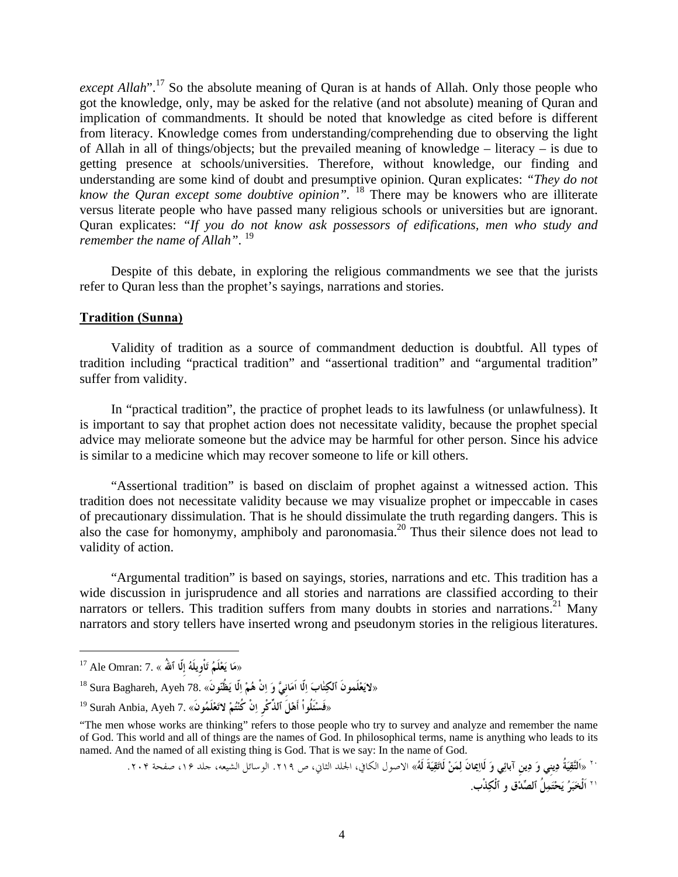*except Allah*".<sup>17</sup> So the absolute meaning of Quran is at hands of Allah. Only those people who got the knowledge, only, may be asked for the relative (and not absolute) meaning of Quran and implication of commandments. It should be noted that knowledge as cited before is different from literacy. Knowledge comes from understanding/comprehending due to observing the light of Allah in all of things/objects; but the prevailed meaning of knowledge – literacy – is due to getting presence at schools/universities. Therefore, without knowledge, our finding and understanding are some kind of doubt and presumptive opinion. Quran explicates: *"They do not know the Quran except some doubtive opinion".* 18 There may be knowers who are illiterate versus literate people who have passed many religious schools or universities but are ignorant. Quran explicates: *"If you do not know ask possessors of edifications, men who study and remember the name of Allah"*. 19

Despite of this debate, in exploring the religious commandments we see that the jurists refer to Quran less than the prophet's sayings, narrations and stories.

## **Tradition (Sunna)**

Validity of tradition as a source of commandment deduction is doubtful. All types of tradition including "practical tradition" and "assertional tradition" and "argumental tradition" suffer from validity.

In "practical tradition", the practice of prophet leads to its lawfulness (or unlawfulness). It is important to say that prophet action does not necessitate validity, because the prophet special advice may meliorate someone but the advice may be harmful for other person. Since his advice is similar to a medicine which may recover someone to life or kill others.

"Assertional tradition" is based on disclaim of prophet against a witnessed action. This tradition does not necessitate validity because we may visualize prophet or impeccable in cases of precautionary dissimulation. That is he should dissimulate the truth regarding dangers. This is also the case for homonymy, amphiboly and paronomasia.<sup>20</sup> Thus their silence does not lead to validity of action.

"Argumental tradition" is based on sayings, stories, narrations and etc. This tradition has a wide discussion in jurisprudence and all stories and narrations are classified according to their narrators or tellers. This tradition suffers from many doubts in stories and narrations.<sup>21</sup> Many narrators and story tellers have inserted wrong and pseudonym stories in the religious literatures.

1

`` «اَلتَّقِيَةُ دِيني وَ دِين آبائِي وَ لَاإِيمانَ لِمَنْ لَاتَقِيَةَ لَهُ» الاصول الكافي، الحلد الثاني، ص ٢١٩. الو سائل الشيعه، جلد ١۶، صفحة ٢٠٢. **اَلْخَبَرُ يَحْتَمِلُ ٱلصِّدْق و ٱلْكِذْب**. <sup>٢١</sup>

«**مَا يَعْلَمُ تَاْوِيلَهُ إِلّا ٱاللهُ** » 7. :Omran Ale 17

<sup>«</sup>**لايَعْلَمونَ ٱلكِتٰابَ اِلّا اَمَانِيَّ وَ اِنْ هُمْ اِلّا يَظُنّونَ»** 78. Ayeh ,Baghareh Sura 18

<sup>«</sup>فَسْئَلُواْ أَهْلَ ٱلذِّكْرِ اِنْ كُنْتُمْ لاتَعْلَمُونَ» .7 Surah Anbia, Ayeh <sup>19</sup>

<sup>&</sup>quot;The men whose works are thinking" refers to those people who try to survey and analyze and remember the name of God. This world and all of things are the names of God. In philosophical terms, name is anything who leads to its named. And the named of all existing thing is God. That is we say: In the name of God.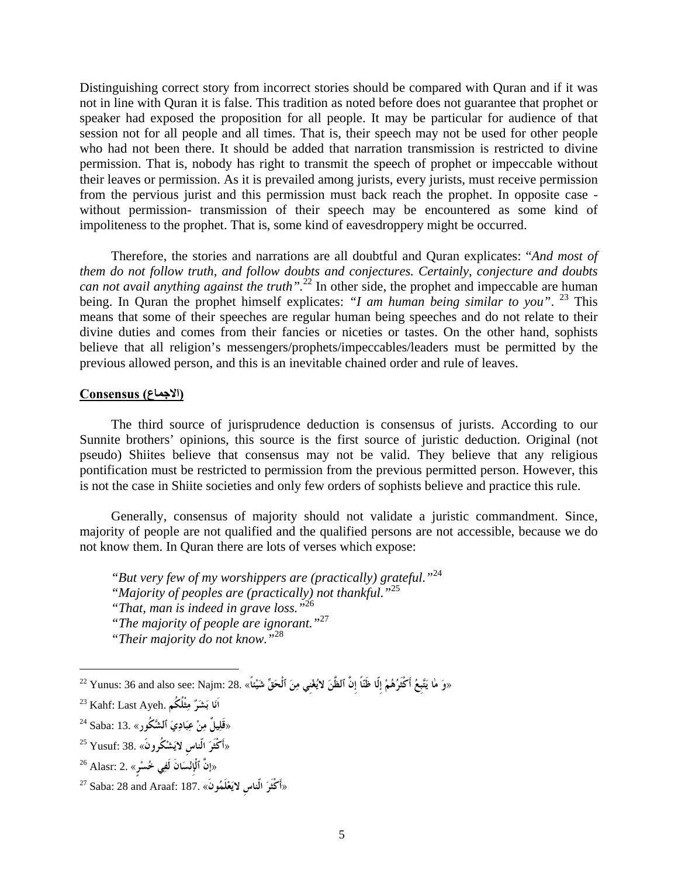Distinguishing correct story from incorrect stories should be compared with Quran and if it was not in line with Quran it is false. This tradition as noted before does not guarantee that prophet or speaker had exposed the proposition for all people. It may be particular for audience of that session not for all people and all times. That is, their speech may not be used for other people who had not been there. It should be added that narration transmission is restricted to divine permission. That is, nobody has right to transmit the speech of prophet or impeccable without their leaves or permission. As it is prevailed among jurists, every jurists, must receive permission from the pervious jurist and this permission must back reach the prophet. In opposite case without permission- transmission of their speech may be encountered as some kind of impoliteness to the prophet. That is, some kind of eavesdroppery might be occurred.

Therefore, the stories and narrations are all doubtful and Quran explicates: "*And most of them do not follow truth, and follow doubts and conjectures. Certainly, conjecture and doubts can not avail anything against the truth".*22 In other side, the prophet and impeccable are human being. In Quran the prophet himself explicates: *"I am human being similar to you*". <sup>23</sup> This means that some of their speeches are regular human being speeches and do not relate to their divine duties and comes from their fancies or niceties or tastes. On the other hand, sophists believe that all religion's messengers/prophets/impeccables/leaders must be permitted by the previous allowed person, and this is an inevitable chained order and rule of leaves.

## **(االجماع) Consensus**

The third source of jurisprudence deduction is consensus of jurists. According to our Sunnite brothers' opinions, this source is the first source of juristic deduction. Original (not pseudo) Shiites believe that consensus may not be valid. They believe that any religious pontification must be restricted to permission from the previous permitted person. However, this is not the case in Shiite societies and only few orders of sophists believe and practice this rule.

Generally, consensus of majority should not validate a juristic commandment. Since, majority of people are not qualified and the qualified persons are not accessible, because we do not know them. In Quran there are lots of verses which expose:

*"But very few of my worshippers are (practically) grateful."*<sup>24</sup> *"Majority of peoples are (practically) not thankful."*<sup>25</sup> *"That, man is indeed in grave loss."*<sup>26</sup> *"The majority of people are ignorant."*<sup>27</sup> *"Their majority do not know."*<sup>28</sup>

 $\overline{a}$ 

- **«أَكْثَرَ الّناسِ لايَشْكُرونََ»** 38. :Yusuf 25
- «**إنَّ ٱلْإِنْسَانَ لَفِي خُسْرٍ**» 2. :Alasr 26

<sup>«</sup>وَ مَا يَتَّبِعُ أَكْثَرُهُمْ إِلَّا ظَنَّاً إِنَّ ٱلظَّنَ لايُغْنِي مِنَ ٱلْحَقِّ شَيْئاً» .28. Yunus: 36 and also see: Najm: 28

**اَنَا بَشَرٌ مِثْلُكُم** .Ayeh Last :Kahf 23

<sup>«</sup>**قَلِيلٌ مِنْ عِبَادِيَ ٱلشَّكُور»** 13. :Saba 24

**<sup>«</sup>أَكْثَرَ الّناسِ لايَعْلَمُونَ»** 187. :Araaf and 28 :Saba 27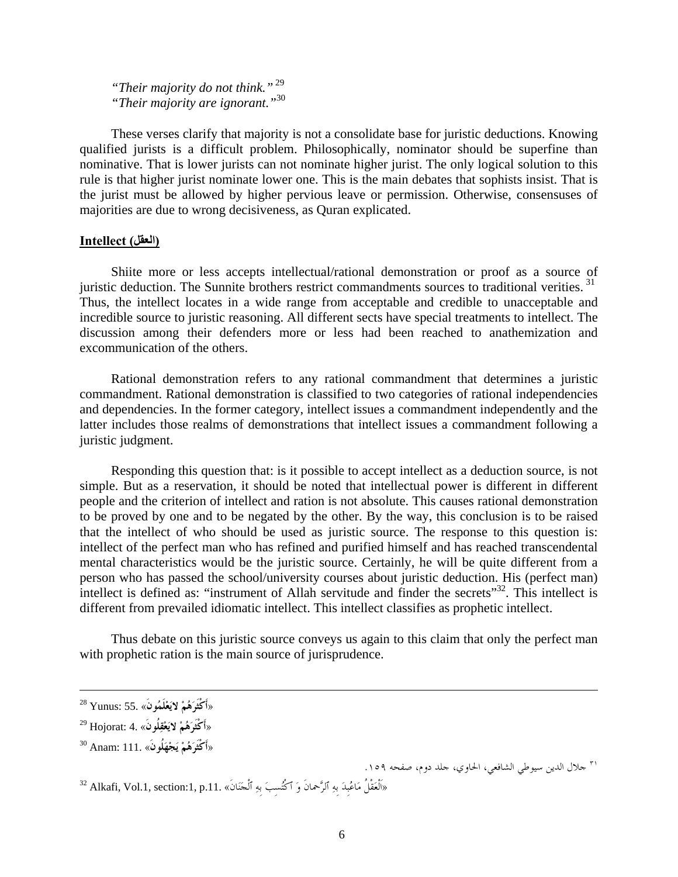*"Their majority do not think."*<sup>29</sup> *"Their majority are ignorant."*<sup>30</sup>

These verses clarify that majority is not a consolidate base for juristic deductions. Knowing qualified jurists is a difficult problem. Philosophically, nominator should be superfine than nominative. That is lower jurists can not nominate higher jurist. The only logical solution to this rule is that higher jurist nominate lower one. This is the main debates that sophists insist. That is the jurist must be allowed by higher pervious leave or permission. Otherwise, consensuses of majorities are due to wrong decisiveness, as Quran explicated.

## **(العقل) Intellect**

Shiite more or less accepts intellectual/rational demonstration or proof as a source of juristic deduction. The Sunnite brothers restrict commandments sources to traditional verities.<sup>31</sup> Thus, the intellect locates in a wide range from acceptable and credible to unacceptable and incredible source to juristic reasoning. All different sects have special treatments to intellect. The discussion among their defenders more or less had been reached to anathemization and excommunication of the others.

Rational demonstration refers to any rational commandment that determines a juristic commandment. Rational demonstration is classified to two categories of rational independencies and dependencies. In the former category, intellect issues a commandment independently and the latter includes those realms of demonstrations that intellect issues a commandment following a juristic judgment.

Responding this question that: is it possible to accept intellect as a deduction source, is not simple. But as a reservation, it should be noted that intellectual power is different in different people and the criterion of intellect and ration is not absolute. This causes rational demonstration to be proved by one and to be negated by the other. By the way, this conclusion is to be raised that the intellect of who should be used as juristic source. The response to this question is: intellect of the perfect man who has refined and purified himself and has reached transcendental mental characteristics would be the juristic source. Certainly, he will be quite different from a person who has passed the school/university courses about juristic deduction. His (perfect man) intellect is defined as: "instrument of Allah servitude and finder the secrets"<sup>32</sup>. This intellect is different from prevailed idiomatic intellect. This intellect classifies as prophetic intellect.

Thus debate on this juristic source conveys us again to this claim that only the perfect man with prophetic ration is the main source of jurisprudence.

<sup>٣١</sup> جلال الدين سيوطي الشافعي، الحاوي، جلد دوم، صفحه ١٥٩.

«اَلْعَقْلُ مَاعُبِدَ بِهِ ٱلرَّحْمانَ وَ ٱكْتُسِبَ بِهِ ٱلْجَنَانَ» .11. Alkafi, Vol.1, section 32 4

**<sup>«</sup>أَكْثَرَهُمْ لايَعْلَمُونَ»** 55. :Yunus 28

**<sup>«</sup>أَكْثَرَهُمْ لايَعْقِلُونَ»** 4. :Hojorat 29

**<sup>«</sup>أَكْثَرَهُمْ يَجْهَلُونَ**» 111. :Anam 30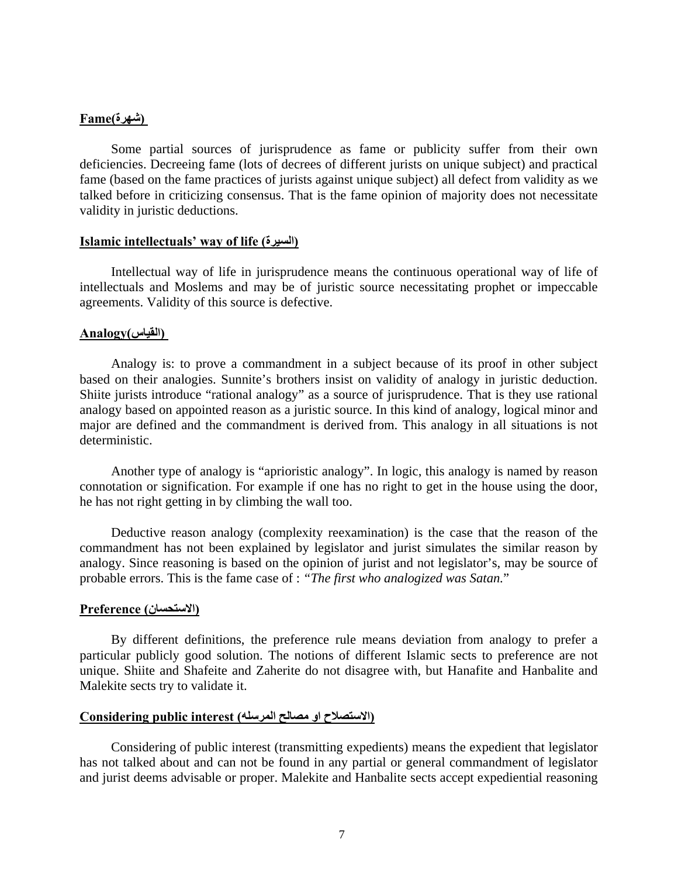## **(شھرة)Fame**

Some partial sources of jurisprudence as fame or publicity suffer from their own deficiencies. Decreeing fame (lots of decrees of different jurists on unique subject) and practical fame (based on the fame practices of jurists against unique subject) all defect from validity as we talked before in criticizing consensus. That is the fame opinion of majority does not necessitate validity in juristic deductions.

## **Islamic intellectuals' way of life (السيرة (**

Intellectual way of life in jurisprudence means the continuous operational way of life of intellectuals and Moslems and may be of juristic source necessitating prophet or impeccable agreements. Validity of this source is defective.

#### **(القياس)Analogy**

Analogy is: to prove a commandment in a subject because of its proof in other subject based on their analogies. Sunnite's brothers insist on validity of analogy in juristic deduction. Shiite jurists introduce "rational analogy" as a source of jurisprudence. That is they use rational analogy based on appointed reason as a juristic source. In this kind of analogy, logical minor and major are defined and the commandment is derived from. This analogy in all situations is not deterministic.

Another type of analogy is "aprioristic analogy". In logic, this analogy is named by reason connotation or signification. For example if one has no right to get in the house using the door, he has not right getting in by climbing the wall too.

Deductive reason analogy (complexity reexamination) is the case that the reason of the commandment has not been explained by legislator and jurist simulates the similar reason by analogy. Since reasoning is based on the opinion of jurist and not legislator's, may be source of probable errors. This is the fame case of : *"The first who analogized was Satan.*"

## **(االستحسان) Preference**

By different definitions, the preference rule means deviation from analogy to prefer a particular publicly good solution. The notions of different Islamic sects to preference are not unique. Shiite and Shafeite and Zaherite do not disagree with, but Hanafite and Hanbalite and Malekite sects try to validate it.

## **(االستصالح او مصالح المرسله) interest public Considering**

Considering of public interest (transmitting expedients) means the expedient that legislator has not talked about and can not be found in any partial or general commandment of legislator and jurist deems advisable or proper. Malekite and Hanbalite sects accept expediential reasoning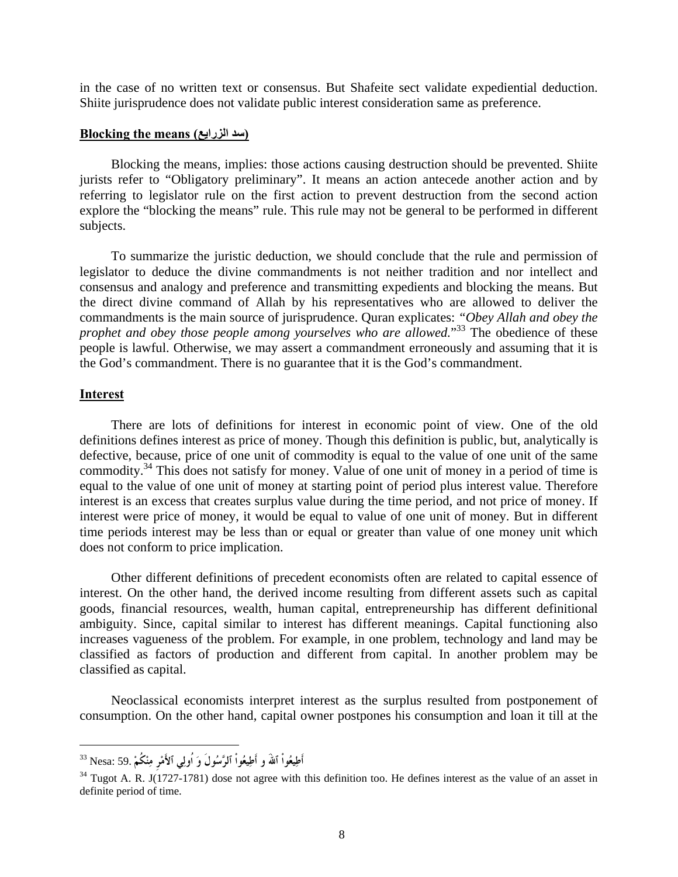in the case of no written text or consensus. But Shafeite sect validate expediential deduction. Shiite jurisprudence does not validate public interest consideration same as preference.

## **Blocking the means (الزرايع سد(**

Blocking the means, implies: those actions causing destruction should be prevented. Shiite jurists refer to "Obligatory preliminary". It means an action antecede another action and by referring to legislator rule on the first action to prevent destruction from the second action explore the "blocking the means" rule. This rule may not be general to be performed in different subjects.

To summarize the juristic deduction, we should conclude that the rule and permission of legislator to deduce the divine commandments is not neither tradition and nor intellect and consensus and analogy and preference and transmitting expedients and blocking the means. But the direct divine command of Allah by his representatives who are allowed to deliver the commandments is the main source of jurisprudence. Quran explicates: *"Obey Allah and obey the*  prophet and obey those people among yourselves who are allowed."<sup>33</sup> The obedience of these people is lawful. Otherwise, we may assert a commandment erroneously and assuming that it is the God's commandment. There is no guarantee that it is the God's commandment.

### **Interest**

 $\overline{a}$ 

There are lots of definitions for interest in economic point of view. One of the old definitions defines interest as price of money. Though this definition is public, but, analytically is defective, because, price of one unit of commodity is equal to the value of one unit of the same commodity.34 This does not satisfy for money. Value of one unit of money in a period of time is equal to the value of one unit of money at starting point of period plus interest value. Therefore interest is an excess that creates surplus value during the time period, and not price of money. If interest were price of money, it would be equal to value of one unit of money. But in different time periods interest may be less than or equal or greater than value of one money unit which does not conform to price implication.

Other different definitions of precedent economists often are related to capital essence of interest. On the other hand, the derived income resulting from different assets such as capital goods, financial resources, wealth, human capital, entrepreneurship has different definitional ambiguity. Since, capital similar to interest has different meanings. Capital functioning also increases vagueness of the problem. For example, in one problem, technology and land may be classified as factors of production and different from capital. In another problem may be classified as capital.

Neoclassical economists interpret interest as the surplus resulted from postponement of consumption. On the other hand, capital owner postpones his consumption and loan it till at the

<sup>33</sup> Nesa: 59. **ْكُمْنِم رِْمَٱلأ يِاُول َو ولَُٱلرَّس واُْيعِأَط و َٱالله واُْيعِأَط**

 $34$  Tugot A. R. J $(1727-1781)$  dose not agree with this definition too. He defines interest as the value of an asset in definite period of time.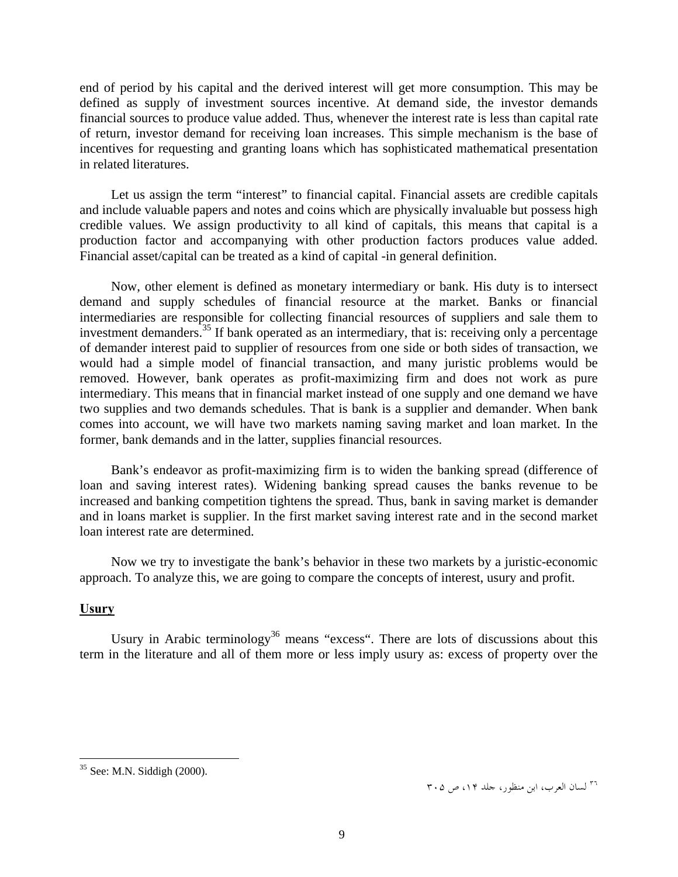end of period by his capital and the derived interest will get more consumption. This may be defined as supply of investment sources incentive. At demand side, the investor demands financial sources to produce value added. Thus, whenever the interest rate is less than capital rate of return, investor demand for receiving loan increases. This simple mechanism is the base of incentives for requesting and granting loans which has sophisticated mathematical presentation in related literatures.

Let us assign the term "interest" to financial capital. Financial assets are credible capitals and include valuable papers and notes and coins which are physically invaluable but possess high credible values. We assign productivity to all kind of capitals, this means that capital is a production factor and accompanying with other production factors produces value added. Financial asset/capital can be treated as a kind of capital -in general definition.

Now, other element is defined as monetary intermediary or bank. His duty is to intersect demand and supply schedules of financial resource at the market. Banks or financial intermediaries are responsible for collecting financial resources of suppliers and sale them to investment demanders.<sup>35</sup> If bank operated as an intermediary, that is: receiving only a percentage of demander interest paid to supplier of resources from one side or both sides of transaction, we would had a simple model of financial transaction, and many juristic problems would be removed. However, bank operates as profit-maximizing firm and does not work as pure intermediary. This means that in financial market instead of one supply and one demand we have two supplies and two demands schedules. That is bank is a supplier and demander. When bank comes into account, we will have two markets naming saving market and loan market. In the former, bank demands and in the latter, supplies financial resources.

Bank's endeavor as profit-maximizing firm is to widen the banking spread (difference of loan and saving interest rates). Widening banking spread causes the banks revenue to be increased and banking competition tightens the spread. Thus, bank in saving market is demander and in loans market is supplier. In the first market saving interest rate and in the second market loan interest rate are determined.

Now we try to investigate the bank's behavior in these two markets by a juristic-economic approach. To analyze this, we are going to compare the concepts of interest, usury and profit.

# **Usury**

Usury in Arabic terminology<sup>36</sup> means "excess". There are lots of discussions about this term in the literature and all of them more or less imply usury as: excess of property over the

<sup>&</sup>lt;sup>35</sup> See: M.N. Siddigh (2000).

 $r \cdot \varrho$  لسان العرب، ابن منظور، جلد ۱۴، ص ۳۰۵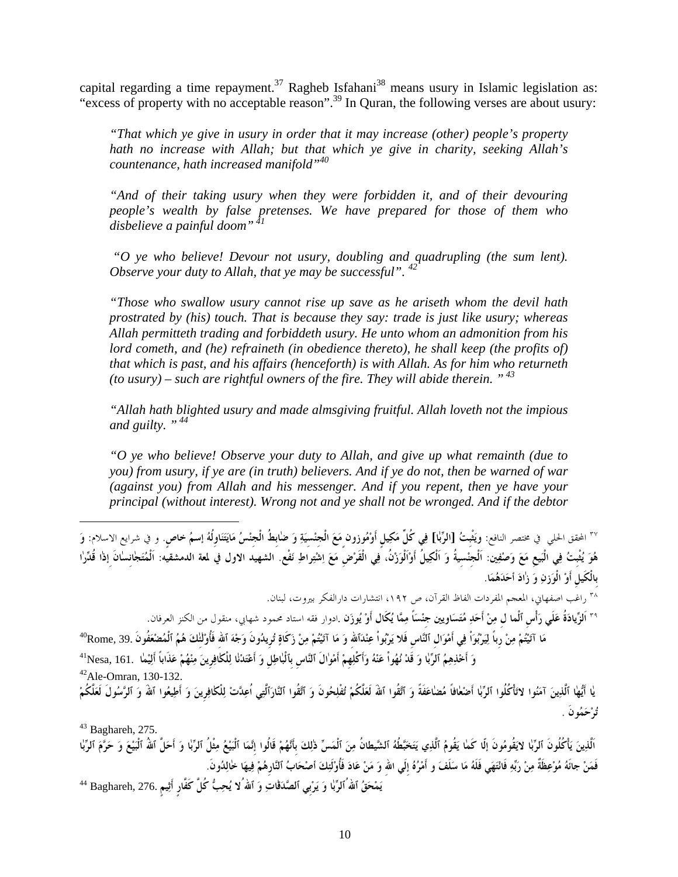capital regarding a time repayment.<sup>37</sup> Ragheb Isfahani<sup>38</sup> means usury in Islamic legislation as: "excess of property with no acceptable reason".<sup>39</sup> In Quran, the following verses are about usury:

*"That which ye give in usury in order that it may increase (other) people's property hath no increase with Allah; but that which ye give in charity, seeking Allah's countenance, hath increased manifold"40*

*"And of their taking usury when they were forbidden it, and of their devouring people's wealth by false pretenses. We have prepared for those of them who disbelieve a painful doom"<sup>41</sup>*

 *"O ye who believe! Devour not usury, doubling and quadrupling (the sum lent). Observe your duty to Allah, that ye may be successful".* 42

*"Those who swallow usury cannot rise up save as he ariseth whom the devil hath prostrated by (his) touch. That is because they say: trade is just like usury; whereas Allah permitteth trading and forbiddeth usury. He unto whom an admonition from his lord cometh, and (he) refraineth (in obedience thereto), he shall keep (the profits of) that which is past, and his affairs (henceforth) is with Allah. As for him who returneth (to usury) – such are rightful owners of the fire. They will abide therein. " 43*

*"Allah hath blighted usury and made almsgiving fruitful. Allah loveth not the impious and guilty. " 44*

*"O ye who believe! Observe your duty to Allah, and give up what remainth (due to you) from usury, if ye are (in truth) believers. And if ye do not, then be warned of war (against you) from Allah and his messenger. And if you repent, then ye have your principal (without interest). Wrong not and ye shall not be wronged. And if the debtor* 

<sup>٣٧</sup> المحقق الحل<sub>ى</sub> في مختصر النافع: ويَغْبتُ [الرِّبا] فِي كُلِّ مَكِيل أَوْمُوزون مَعَ الْجنْسيَةِ وَ ضابطُ الْجنْسُ مَايَتَنَاولُهُ إسمُ خاص. و في شرايع الاسلام: وَ .<br>هُوَ يُثْبتُ فِى الْبَيعَ مَعَ وَصْفِين: اَلْجنَسيةُ وَ اَلْكِيلٌ أَوْاَلُوَزْنُ، فِي الْقَرْضِ مَعَ اِشْتِراطِ نَفْع. الشهيد الاول في لمعة الدمشقيَّه: اَلْمُتَجانِسانَ اِذا قُدِّرا **بِالْكَيلِ أَوْ الْوَزنِ وَ زٰادَ أحَدَهُمَا**.

م<br>\*\* راغب اصفهاني، المعجم المفردات الفاظ القرآن، ص ١٩٢، انتشارات دارالفكر بيروت، لبنان.

<sup>٣٩</sup> اَلزِّيادَةُ عَلَى رَأْس ٱلْما ل مِنْ أَحَدٍ مُتَسَاوِينِ جنْسَاً مِمَّا يُكَال أَوْ يُوزَن .ادوار فقه استاد محمود شهابي، منقول من الكنز العرفان.

مَا آتَيْتُمْ مِنْ رِباً لِيَرْبُوَاْ فِي أَمْوَال ٱلنَّاس فَلا يَرْبُواْ عِنْدَالله وَ مَا آتَيْتُمْ مِنْ زَكَاةٍ تُريدُونَ وَجْهَ ٱلله فَأُوْلَٰئكَ هُمُ ٱلْمُضْعَفُونَ .39. Rome?

ر<br>وَ أَخْذِهِمُ ٱلرَّبَا وَ قَدْ نُهُواْ عَنْهُ وَأَكْلِهِمْ أَمْوالَ ٱلنَّاسِ بِٱلْبَاطِلِ وَ أَعْتَدْنَا لِلْكَافِرِينَ مِنْهُمْ عَذَاباً أَلِيْمَا Nesa, 161. اَ<br>42Ale-Omran, 130-132.

يا أَيُّها ٱلَّذِينَ آمَنُوا لاَتَأْكُلُوا ٱلرِّبا أَضْعافاً مُضاعَفَةً وَ ٱتَقُوا ٱللَّهَ لَعَلَّكُمْ تُفْلِحُونَ وَ ٱتَّقُوا ٱلنَّارَٱلَّتِي اُعِدَّتْ لِلْكَافِرِينَ وَ أَطِيعُوا ٱللَّهُ وَ ٱلزَّسُولَ لَعَلَّكُمْ 275. ,Baghareh <sup>43</sup> **تُرْحَمُونَ** .

اَلّذِينَ يَأْكُلُونَ ٱلرِّبٰا لايَقُومُونَ إلّا كَما يَقُومُ ٱلَّذِي يَتَخَبَّطُهُ ٱلشَّيطانُ مِنَ ٱلْمَسِّ ذٰلِكَ بأَنَّهُمْ قَالُوا إنَّمَا ٱلْبَيْعُ مِثْلُ ٱلرِّبٰا وَ أَحَلَّ ٱللهُ ٱلْبَيْعَ وَ حَرَّمَ ٱلرِّبٰا فَمَنْ جاتَهُ مُوْعِظَةٌ مِنْ رَبِّهِ فَانْتَهَى فَلَهُ مَا سَلَفَ و أَمْرُهُ إِلَى الله وَ مَنْ عَادَ فَأُوْلَئِكَ أصْحَابُ ٱلنَّارِهُمْ فِيهَا خالِدُونَ.

**يَمْحَقُ ٱاللهُٱلرِّبٰا وَ يَرْبِي ٱلصَّدَقٰاتِ وَ ٱاللهُلا يُحِبُّ كُلَّ كَفَّارٍ أَثِيمٍ** 276. ,Baghareh <sup>44</sup>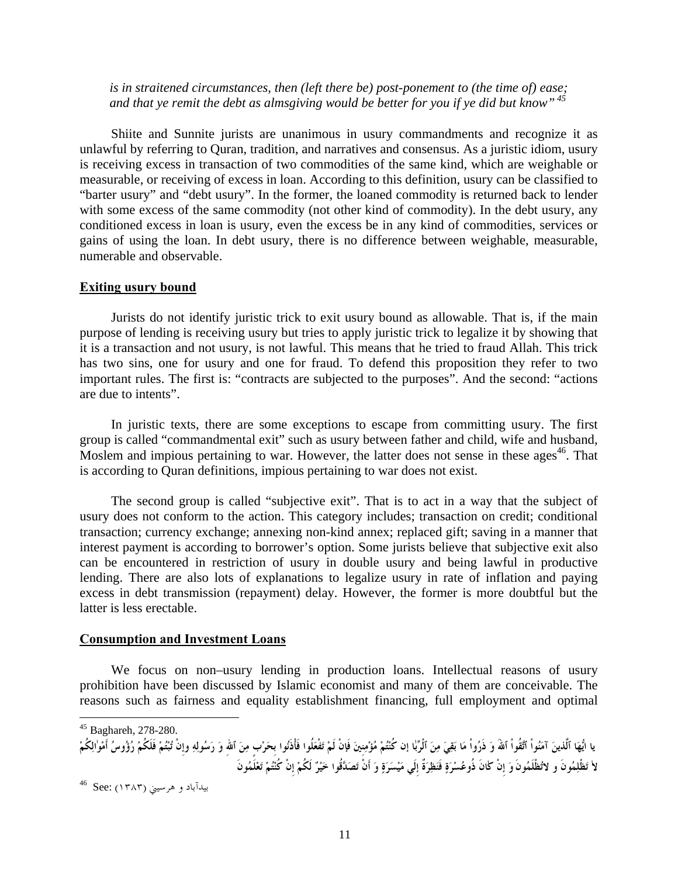*is in straitened circumstances, then (left there be) post-ponement to (the time of) ease; and that ye remit the debt as almsgiving would be better for you if ye did but know" 45*

Shiite and Sunnite jurists are unanimous in usury commandments and recognize it as unlawful by referring to Quran, tradition, and narratives and consensus. As a juristic idiom, usury is receiving excess in transaction of two commodities of the same kind, which are weighable or measurable, or receiving of excess in loan. According to this definition, usury can be classified to "barter usury" and "debt usury". In the former, the loaned commodity is returned back to lender with some excess of the same commodity (not other kind of commodity). In the debt usury, any conditioned excess in loan is usury, even the excess be in any kind of commodities, services or gains of using the loan. In debt usury, there is no difference between weighable, measurable, numerable and observable.

## **Exiting usury bound**

Jurists do not identify juristic trick to exit usury bound as allowable. That is, if the main purpose of lending is receiving usury but tries to apply juristic trick to legalize it by showing that it is a transaction and not usury, is not lawful. This means that he tried to fraud Allah. This trick has two sins, one for usury and one for fraud. To defend this proposition they refer to two important rules. The first is: "contracts are subjected to the purposes". And the second: "actions are due to intents".

In juristic texts, there are some exceptions to escape from committing usury. The first group is called "commandmental exit" such as usury between father and child, wife and husband, Moslem and impious pertaining to war. However, the latter does not sense in these ages<sup>46</sup>. That is according to Quran definitions, impious pertaining to war does not exist.

The second group is called "subjective exit". That is to act in a way that the subject of usury does not conform to the action. This category includes; transaction on credit; conditional transaction; currency exchange; annexing non-kind annex; replaced gift; saving in a manner that interest payment is according to borrower's option. Some jurists believe that subjective exit also can be encountered in restriction of usury in double usury and being lawful in productive lending. There are also lots of explanations to legalize usury in rate of inflation and paying excess in debt transmission (repayment) delay. However, the former is more doubtful but the latter is less erectable.

## **Consumption and Investment Loans**

We focus on non–usury lending in production loans. Intellectual reasons of usury prohibition have been discussed by Islamic economist and many of them are conceivable. The reasons such as fairness and equality establishment financing, full employment and optimal

<sup>45</sup> Baghareh, 278-280.

 $\overline{a}$ 

يا ايُّهَا ٱلَّذينَ آمَنُواْ ٱتَّقُواْ ٱللهَ وَ ذَرُواْ مَا بَقِيَ مِنَ ٱلْرَّبَا إن كُنْتُمْ مُؤْمِنِينَ فَإنْ لَمْ تَفْعَلُوا فَأْذَنُوا بحَرْب مِنَ ٱلْفَرُ وَرَسُولِهِ وإِنْ تُبْتُمْ فَوْلِنُكُمْ رُؤُوسُ أَمْوالِكُمْ لا تَظْلِمُونَ و لاتُظْلَمُونَ وَ إنْ كانَ ذُوعُسْرَةٍ فَنَظِرَةٌ إلَى مَيْسَرَةٍ وَ أَنْ تَصَدَّقُوا خَيْرٌ لَكُمْ إنْ كُنْتُمْ تَعْلَمُونَ

بيدآباد و هرسيني (۱۳۸۳) :See 46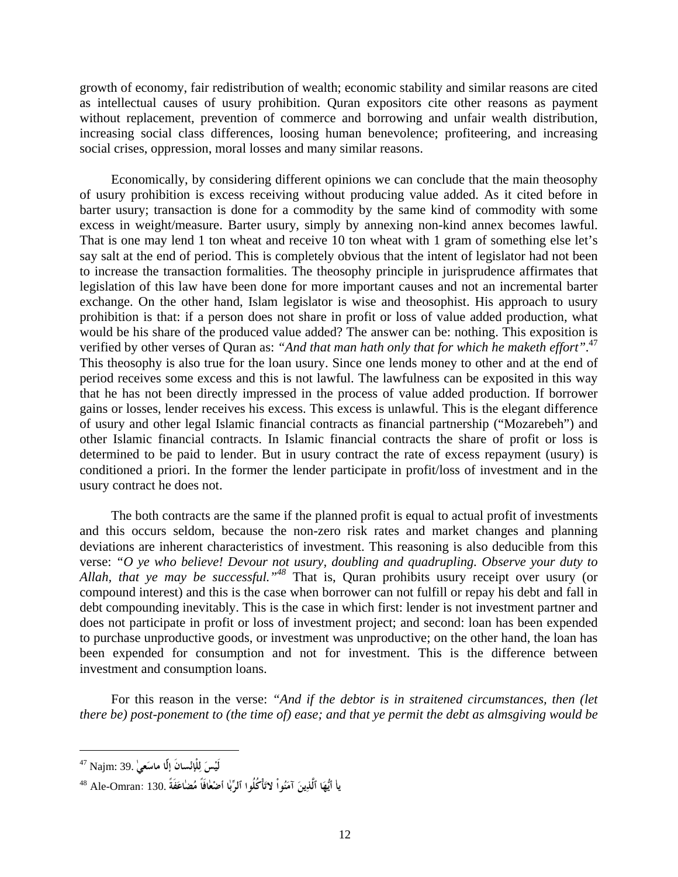growth of economy, fair redistribution of wealth; economic stability and similar reasons are cited as intellectual causes of usury prohibition. Quran expositors cite other reasons as payment without replacement, prevention of commerce and borrowing and unfair wealth distribution, increasing social class differences, loosing human benevolence; profiteering, and increasing social crises, oppression, moral losses and many similar reasons.

Economically, by considering different opinions we can conclude that the main theosophy of usury prohibition is excess receiving without producing value added. As it cited before in barter usury; transaction is done for a commodity by the same kind of commodity with some excess in weight/measure. Barter usury, simply by annexing non-kind annex becomes lawful. That is one may lend 1 ton wheat and receive 10 ton wheat with 1 gram of something else let's say salt at the end of period. This is completely obvious that the intent of legislator had not been to increase the transaction formalities. The theosophy principle in jurisprudence affirmates that legislation of this law have been done for more important causes and not an incremental barter exchange. On the other hand, Islam legislator is wise and theosophist. His approach to usury prohibition is that: if a person does not share in profit or loss of value added production, what would be his share of the produced value added? The answer can be: nothing. This exposition is verified by other verses of Quran as: *"And that man hath only that for which he maketh effort"*. 47 This theosophy is also true for the loan usury. Since one lends money to other and at the end of period receives some excess and this is not lawful. The lawfulness can be exposited in this way that he has not been directly impressed in the process of value added production. If borrower gains or losses, lender receives his excess. This excess is unlawful. This is the elegant difference of usury and other legal Islamic financial contracts as financial partnership ("Mozarebeh") and other Islamic financial contracts. In Islamic financial contracts the share of profit or loss is determined to be paid to lender. But in usury contract the rate of excess repayment (usury) is conditioned a priori. In the former the lender participate in profit/loss of investment and in the usury contract he does not.

The both contracts are the same if the planned profit is equal to actual profit of investments and this occurs seldom, because the non-zero risk rates and market changes and planning deviations are inherent characteristics of investment. This reasoning is also deducible from this verse: *"O ye who believe! Devour not usury, doubling and quadrupling. Observe your duty to Allah, that ye may be successful."48* That is, Quran prohibits usury receipt over usury (or compound interest) and this is the case when borrower can not fulfill or repay his debt and fall in debt compounding inevitably. This is the case in which first: lender is not investment partner and does not participate in profit or loss of investment project; and second: loan has been expended to purchase unproductive goods, or investment was unproductive; on the other hand, the loan has been expended for consumption and not for investment. This is the difference between investment and consumption loans.

For this reason in the verse: *"And if the debtor is in straitened circumstances, then (let there be) post-ponement to (the time of) ease; and that ye permit the debt as almsgiving would be* 

 $\overline{a}$ 

**لَيْسَ لِلْإنْسانَ إلّٰا ماسَعيٰ** 39. :Najm 47

**ياٰ أيُّهَا ٱلَّذِينَ آمَنُواْ لاتَأْكُلُوا ٱلرِّبٰا أضْعٰافَاً مُضٰاعَفَةً** 130. :Omran-Ale <sup>48</sup>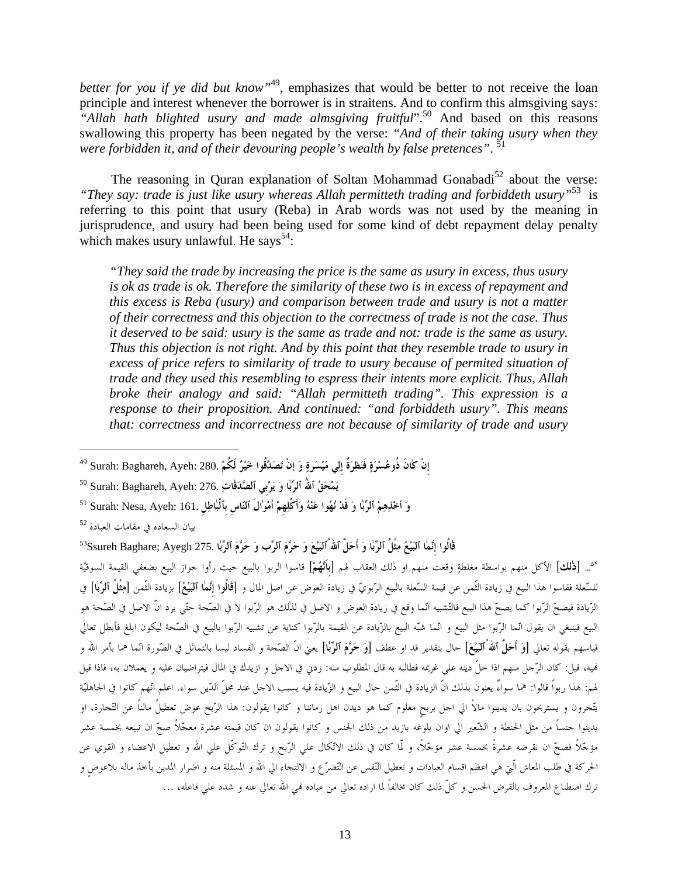*better for you if ye did but know"*<sup>49</sup>*,* emphasizes that would be better to not receive the loan principle and interest whenever the borrower is in straitens. And to confirm this almsgiving says: *"Allah hath blighted usury and made almsgiving fruitful*".50 And based on this reasons swallowing this property has been negated by the verse: *"And of their taking usury when they were forbidden it, and of their devouring people's wealth by false pretences"*. 51

The reasoning in Quran explanation of Soltan Mohammad Gonabadi<sup>52</sup> about the verse: *"They say: trade is just like usury whereas Allah permitteth trading and forbiddeth usury"*53 is referring to this point that usury (Reba) in Arab words was not used by the meaning in jurisprudence, and usury had been being used for some kind of debt repayment delay penalty which makes usury unlawful. He says<sup>54</sup>:

*"They said the trade by increasing the price is the same as usury in excess, thus usury is ok as trade is ok. Therefore the similarity of these two is in excess of repayment and this excess is Reba (usury) and comparison between trade and usury is not a matter of their correctness and this objection to the correctness of trade is not the case. Thus it deserved to be said: usury is the same as trade and not: trade is the same as usury. Thus this objection is not right. And by this point that they resemble trade to usury in excess of price refers to similarity of trade to usury because of permited situation of trade and they used this resembling to espress their intents more explicit. Thus, Allah broke their analogy and said: "Allah permitteth trading". This expression is a response to their proposition. And continued: "and forbiddeth usury". This means that: correctness and incorrectness are not because of similarity of trade and usury* 

بيان السعاده في مقامات العبادة <sup>52</sup>

1

<sup>0.</sup>... [**ذٰلك**] الأكل منهم بواسطة مغلطةٍ وقعت منهم او ذٰلك العقاب لهم [**باَنَّهُمْ**] قاسوا الربوا بالبيع حيث رأوا حواز البيع بضعفي القيمة السوقيّة للسّعلة فقاسوا هذا البيع في زيادة الثّمن عن قيمة السّعلة بالبيع الرّبويّ في زيادة العوض عن اصل المال و [**قٰالُوا إِنَّمٰا ٱلبَيْعُ**] بزيادة الثّمن [**مِثْلُ ٱلرِّبٰا**] في الزّيادة فيصحّ الرّبوا كما يصحّ هذا البيع فالتّشبيه انّما وقع في زيادة العوض و الاصل في لذٰلك هو الرّبوا لا في الصّحة موتّي يرد انّ الاصل في الصّحة هو البيع فينبغي ان يقول انّما الرّبوا مثل البيع و انّما شبّه البيع بالزّيادة عن القيمة بالرّبوا عن تشبيه الرّبوا بالبيع في الصّحة ليكون ابلغ فأبطل تعالي قياسهم بقوله تعالي [**وَ أَحَلَّ ٱاللهُٱلبَيْعَ**] حال بتقدير قد او عطف [**وَ حَرَّمَ ٱلرِّبٰا**] يعني انّ الصّحة و الفساد ليسا بالتماثل في الصّورة انّما هما بأمر االله و هنيه، قيل: كان الرّجل منهم اذا حلّ دينه علي غريمه فطالبه به قال المطلوب منه: زدني في الاجل و ازيدك في المال فيتراضيان عليه و يعملان به، فاذا قيل لهم: هذا ربواً قالوا: هما سواءٌ يعنون بذلك انّ الزيادة في الثّمن حال البيع و الزّيادة فيه بسبب الاجل عند محلّ الدّين سواء. اعلم انّهم كانوا في الجاهليّة يتّجرون و يستربحون بان يدينوا مالاً الي اجل بربحٍ معلوم كما هو ديدن اهل زماننا و كانوا يقولون: هذا الرّبح عوض تعطيلً مالناً عن التّجارة، او يدينوا جنساً من مثل الحنطة و الشّعير الي اوان بلوغه بازيد من ذلك الجنس و كانوا يقولون ان كان قيمته عشرة معجّلاً صحّ ان نبيعه بخمسة عشر مؤجّلاً فصحّ ان نقرضه عشرةً بخمسة عشر مؤجّلاً، و لمّا كان في ذلك الاتّكال علي الرّبح و ترك التّوكّل علي االله و تعطيل الاعضاء و القوي عن الحركة في طلب المعاش الّتي هي اعظم اقسام العبادات و تعطيل النّفس عن التّضرّع و الالتجاء الي االله و المسئلة منه و اضرار المدين بأخذ ماله بلاعوضٍ و ترك اصطناع المعروف بالقرض الحسن و كلّ ذلك كان مخالفاً لما اراده تعالي من عباده هني االله تعالي عنه و شدد علي فاعله، ...

إِنْ كِانَ ذُوعُسْرَةٍ فَنَظِرَةٌ إِلِي مَيْسَرةٍ وَ إنْ تَصَدَّقُوا خَيْرٌ لَكُمْ .280 .Surah: Baghareh, Ayeh <sup>49</sup>

**يَمْحَقُ ٱاللهُ ٱلرِّبٰا وَ يَرْبِي ٱلصَّدَقٰاتِ** 276. :Ayeh ,Baghareh :Surah <sup>50</sup>

**وَ أخْذِهِمْ ٱلرِّبٰا وَ قَدْ نُهُوا عَنْهُ وَأَكْلِهِمْ أَمْوٰالَ ٱلنّاسِ بِٱلْبٰاطِلِ** 161. :Ayeh ,Nesa :Surah <sup>51</sup>

قْالُوا إِنَّمَا ٱلبَيْعُ مِثْلُ ٱلرِّبَا وَ أَحَلَّ ٱللهُ ُٱلبَيْعَ وَ حَرَّمَ ٱلرِّب وَ حَرَّمَ ٱلرِّبا .275 Ssureh Baghare; Ayegh?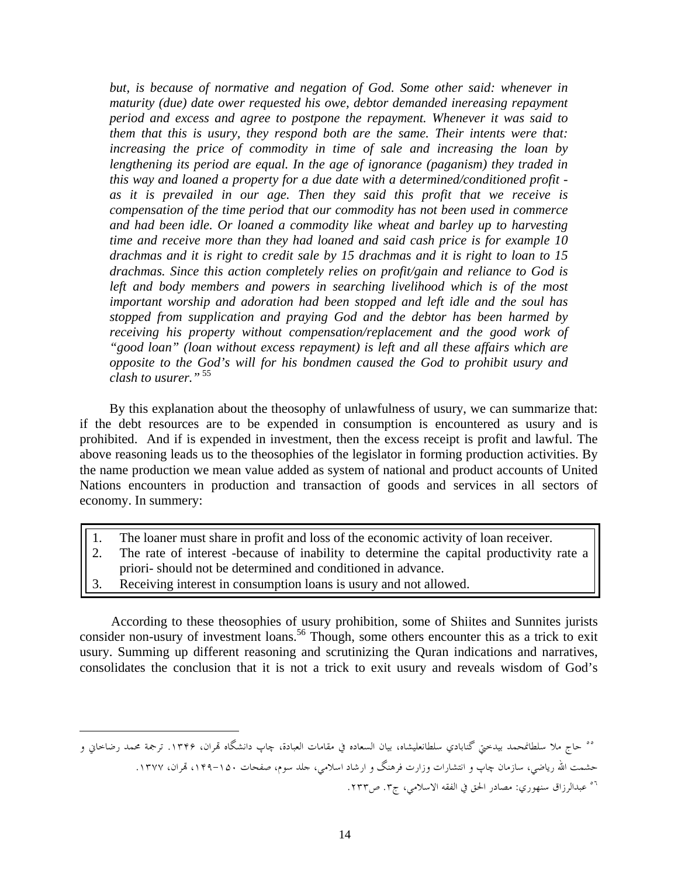*but, is because of normative and negation of God. Some other said: whenever in maturity (due) date ower requested his owe, debtor demanded inereasing repayment period and excess and agree to postpone the repayment. Whenever it was said to them that this is usury, they respond both are the same. Their intents were that: increasing the price of commodity in time of sale and increasing the loan by lengthening its period are equal. In the age of ignorance (paganism) they traded in this way and loaned a property for a due date with a determined/conditioned profit as it is prevailed in our age. Then they said this profit that we receive is compensation of the time period that our commodity has not been used in commerce and had been idle. Or loaned a commodity like wheat and barley up to harvesting time and receive more than they had loaned and said cash price is for example 10 drachmas and it is right to credit sale by 15 drachmas and it is right to loan to 15 drachmas. Since this action completely relies on profit/gain and reliance to God is*  left and body members and powers in searching livelihood which is of the most *important worship and adoration had been stopped and left idle and the soul has stopped from supplication and praying God and the debtor has been harmed by receiving his property without compensation/replacement and the good work of "good loan" (loan without excess repayment) is left and all these affairs which are opposite to the God's will for his bondmen caused the God to prohibit usury and clash to usurer."*<sup>55</sup>

By this explanation about the theosophy of unlawfulness of usury, we can summarize that: if the debt resources are to be expended in consumption is encountered as usury and is prohibited. And if is expended in investment, then the excess receipt is profit and lawful. The above reasoning leads us to the theosophies of the legislator in forming production activities. By the name production we mean value added as system of national and product accounts of United Nations encounters in production and transaction of goods and services in all sectors of economy. In summery:

- 1. The loaner must share in profit and loss of the economic activity of loan receiver.
- 2. The rate of interest -because of inability to determine the capital productivity rate a priori- should not be determined and conditioned in advance.
- 3. Receiving interest in consumption loans is usury and not allowed.

According to these theosophies of usury prohibition, some of Shiites and Sunnites jurists consider non-usury of investment loans.<sup>56</sup> Though, some others encounter this as a trick to exit usury. Summing up different reasoning and scrutinizing the Quran indications and narratives, consolidates the conclusion that it is not a trick to exit usury and reveals wisdom of God's

<sup>&</sup>lt;sup>00</sup> حاج ملا سلطانمحمد بيدختي گنابادي سلطانعليشاه، بيان السعاده في مقامات العبادة، چاپ دانشگاه تمران، ۱۳۴۶. ترجمة محمد رضاخاني و حشمت االله رياضي، سازمان چاپ و انتشارات وزارت فرهنگ و ارشاد اسلامي، جلد سوم، صفحات -۱۵۰ ،۱۴۹ هتران، **.**۱۳۷۷ <sup>٥٦</sup> عبدالرزاق سنهوري: مصادر الحق في الفقه الاسلامي، ج٣. ص٢٣٣.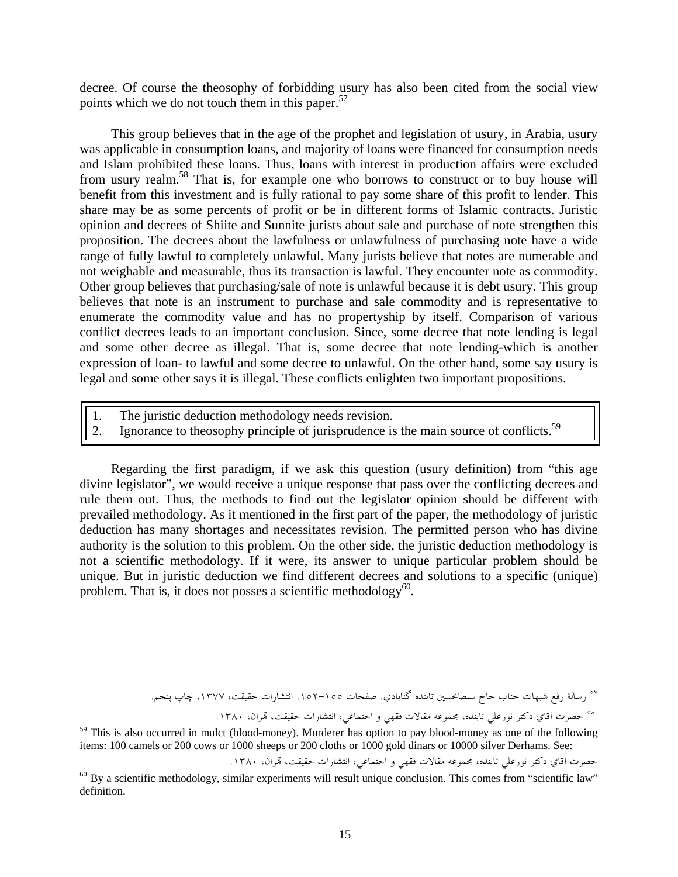decree. Of course the theosophy of forbidding usury has also been cited from the social view points which we do not touch them in this paper.<sup>57</sup>

This group believes that in the age of the prophet and legislation of usury, in Arabia, usury was applicable in consumption loans, and majority of loans were financed for consumption needs and Islam prohibited these loans. Thus, loans with interest in production affairs were excluded from usury realm.58 That is, for example one who borrows to construct or to buy house will benefit from this investment and is fully rational to pay some share of this profit to lender. This share may be as some percents of profit or be in different forms of Islamic contracts. Juristic opinion and decrees of Shiite and Sunnite jurists about sale and purchase of note strengthen this proposition. The decrees about the lawfulness or unlawfulness of purchasing note have a wide range of fully lawful to completely unlawful. Many jurists believe that notes are numerable and not weighable and measurable, thus its transaction is lawful. They encounter note as commodity. Other group believes that purchasing/sale of note is unlawful because it is debt usury. This group believes that note is an instrument to purchase and sale commodity and is representative to enumerate the commodity value and has no propertyship by itself. Comparison of various conflict decrees leads to an important conclusion. Since, some decree that note lending is legal and some other decree as illegal. That is, some decree that note lending-which is another expression of loan- to lawful and some decree to unlawful. On the other hand, some say usury is legal and some other says it is illegal. These conflicts enlighten two important propositions.

- 1. The juristic deduction methodology needs revision.
- 2. Ignorance to theosophy principle of jurisprudence is the main source of conflicts.<sup>59</sup>

Regarding the first paradigm, if we ask this question (usury definition) from "this age divine legislator", we would receive a unique response that pass over the conflicting decrees and rule them out. Thus, the methods to find out the legislator opinion should be different with prevailed methodology. As it mentioned in the first part of the paper, the methodology of juristic deduction has many shortages and necessitates revision. The permitted person who has divine authority is the solution to this problem. On the other side, the juristic deduction methodology is not a scientific methodology. If it were, its answer to unique particular problem should be unique. But in juristic deduction we find different decrees and solutions to a specific (unique) problem. That is, it does not posses a scientific methodology $60$ .

حضرت آقاي دكتر نورعلي تابنده، مجموعه مقالات فقهي و اجتماعي، انتشارات حقيقت، هتران، .۱۳۸۰ <sup>٥٨</sup>

حضرت آقاي دكتر نورعلي تابنده، مجموعه مقالات فقهي و اجتماعي، انتشارات حقيقت، قمران، ١٣٨٠.

<sup>&</sup>lt;sup>٥٧</sup> رسالة رفع شبهات جناب حاج سلطانحسين تابنده گنابادي. صفحات ١٥٥–١٥٢. انتشارات حقيقت، ١٣٧٧، چاپ پنجم.

<sup>&</sup>lt;sup>59</sup> This is also occurred in mulct (blood-money). Murderer has option to pay blood-money as one of the following items: 100 camels or 200 cows or 1000 sheeps or 200 cloths or 1000 gold dinars or 10000 silver Derhams. See:

 $60$  By a scientific methodology, similar experiments will result unique conclusion. This comes from "scientific law" definition.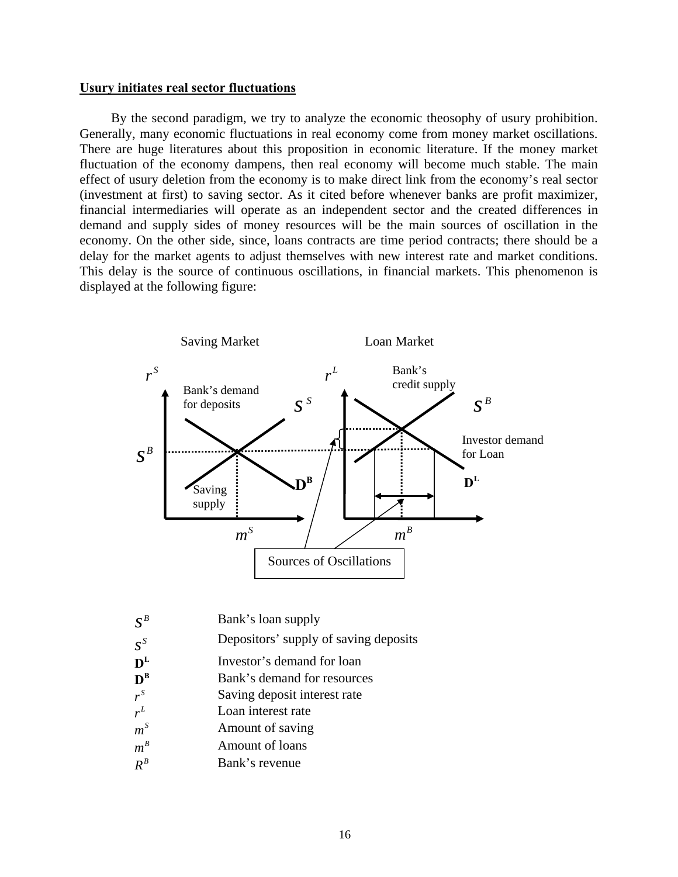## **Usury initiates real sector fluctuations**

By the second paradigm, we try to analyze the economic theosophy of usury prohibition. Generally, many economic fluctuations in real economy come from money market oscillations. There are huge literatures about this proposition in economic literature. If the money market fluctuation of the economy dampens, then real economy will become much stable. The main effect of usury deletion from the economy is to make direct link from the economy's real sector (investment at first) to saving sector. As it cited before whenever banks are profit maximizer, financial intermediaries will operate as an independent sector and the created differences in demand and supply sides of money resources will be the main sources of oscillation in the economy. On the other side, since, loans contracts are time period contracts; there should be a delay for the market agents to adjust themselves with new interest rate and market conditions. This delay is the source of continuous oscillations, in financial markets. This phenomenon is displayed at the following figure:



|  | $\overline{S}^{\,B}$ | Bank's loan supply |  |
|--|----------------------|--------------------|--|
|--|----------------------|--------------------|--|

- *<sup>S</sup>* Depositors' supply of saving deposits *s*
- 
- **D<sup>L</sup>** Investor's demand for loan **D**<sup>B</sup> Bank's demand for resource  $\mathbf{D}^{\mathbf{B}}$  **Bank's demand for resources**  $r^s$  **Saving deposit interest rate**
- Saving deposit interest rate
- Loan interest rate *<sup>L</sup> r*
- *m*<sup>*s*</sup> **Amount of saving**
- Amount of loans  $m^B$
- Bank's revenue *<sup>B</sup> R*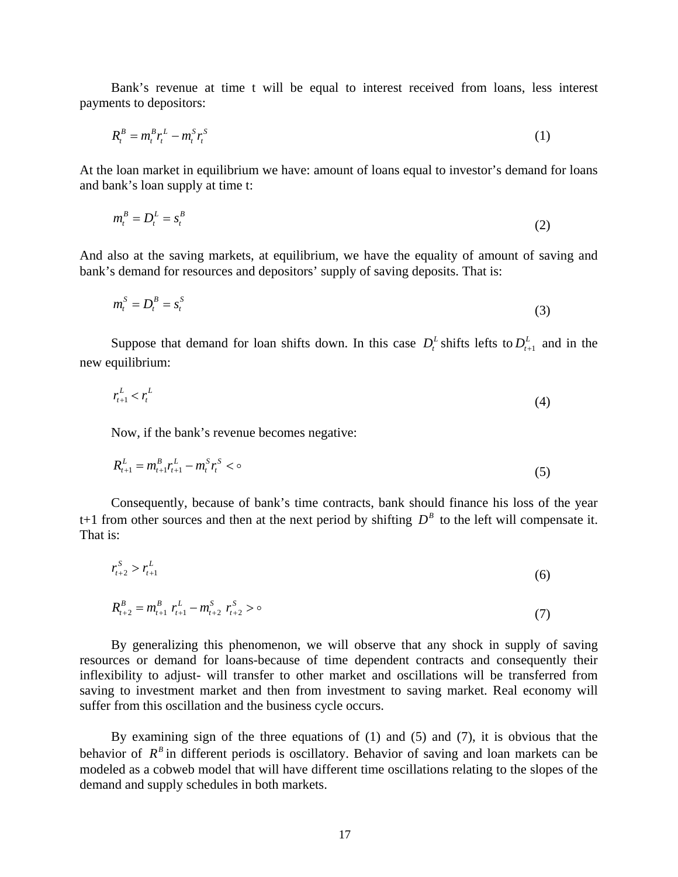Bank's revenue at time t will be equal to interest received from loans, less interest payments to depositors:

$$
R_t^B = m_t^B r_t^L - m_t^S r_t^S \tag{1}
$$

At the loan market in equilibrium we have: amount of loans equal to investor's demand for loans and bank's loan supply at time t:

$$
m_t^B = D_t^L = s_t^B \tag{2}
$$

And also at the saving markets, at equilibrium, we have the equality of amount of saving and bank's demand for resources and depositors' supply of saving deposits. That is:

$$
m_t^S = D_t^B = s_t^S \tag{3}
$$

Suppose that demand for loan shifts down. In this case  $D_t^L$  shifts lefts to  $D_{t+1}^L$  and in the new equilibrium:

$$
r_{t+1}^L < r_t^L \tag{4}
$$

Now, if the bank's revenue becomes negative:

$$
R_{t+1}^L = m_{t+1}^B r_{t+1}^L - m_t^S r_t^S < \infty
$$
\n<sup>(5)</sup>

Consequently, because of bank's time contracts, bank should finance his loss of the year t+1 from other sources and then at the next period by shifting  $D^B$  to the left will compensate it. That is:

$$
r_{t+2}^S > r_{t+1}^L \tag{6}
$$

$$
R_{t+2}^B = m_{t+1}^B \ r_{t+1}^L - m_{t+2}^S \ r_{t+2}^S > \circ \tag{7}
$$

By generalizing this phenomenon, we will observe that any shock in supply of saving resources or demand for loans-because of time dependent contracts and consequently their inflexibility to adjust- will transfer to other market and oscillations will be transferred from saving to investment market and then from investment to saving market. Real economy will suffer from this oscillation and the business cycle occurs.

By examining sign of the three equations of  $(1)$  and  $(5)$  and  $(7)$ , it is obvious that the behavior of  $R<sup>B</sup>$  in different periods is oscillatory. Behavior of saving and loan markets can be modeled as a cobweb model that will have different time oscillations relating to the slopes of the demand and supply schedules in both markets.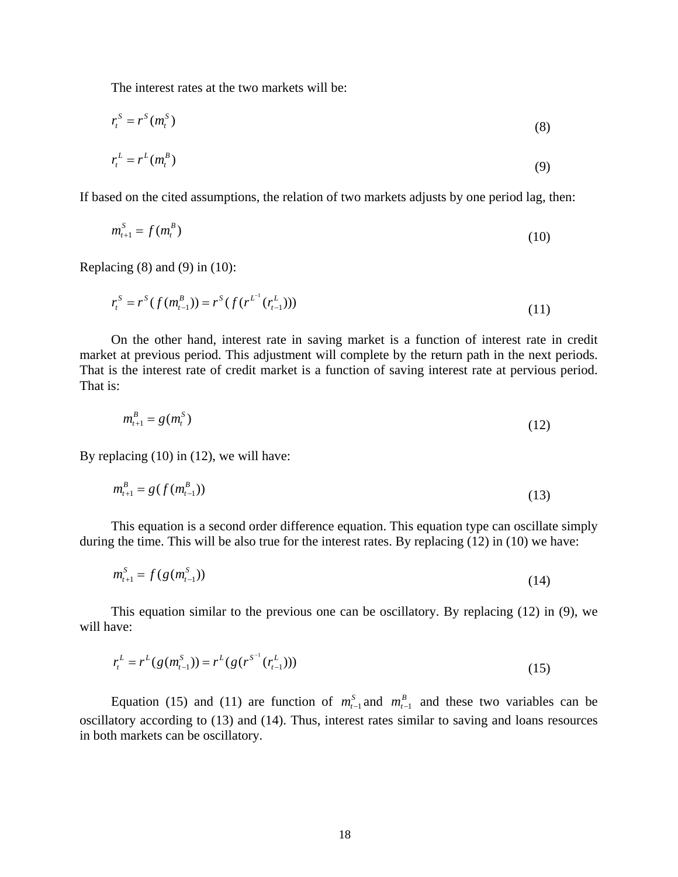The interest rates at the two markets will be:

$$
r_t^S = r^S(m_t^S) \tag{8}
$$

$$
r_t^L = r^L(m_t^B) \tag{9}
$$

If based on the cited assumptions, the relation of two markets adjusts by one period lag, then:

$$
m_{t+1}^S = f(m_t^B)
$$
 (10)

Replacing  $(8)$  and  $(9)$  in  $(10)$ :

$$
r_t^S = r^S(f(m_{t-1}^B)) = r^S(f(r^{L^{-1}}(r_{t-1}^L)))
$$
\n(11)

On the other hand, interest rate in saving market is a function of interest rate in credit market at previous period. This adjustment will complete by the return path in the next periods. That is the interest rate of credit market is a function of saving interest rate at pervious period. That is:

$$
m_{t+1}^B = g(m_t^S) \tag{12}
$$

By replacing (10) in (12), we will have:

$$
m_{t+1}^B = g(f(m_{t-1}^B))
$$
\n(13)

This equation is a second order difference equation. This equation type can oscillate simply during the time. This will be also true for the interest rates. By replacing (12) in (10) we have:

$$
m_{t+1}^S = f(g(m_{t-1}^S))
$$
\n(14)

This equation similar to the previous one can be oscillatory. By replacing (12) in (9), we will have:

$$
r_t^L = r^L(g(m_{t-1}^S)) = r^L(g(r^{S^{-1}}(r_{t-1}^L)))
$$
\n(15)

Equation (15) and (11) are function of  $m_{t-1}^S$  and  $m_{t-1}^B$  and these two variables can be oscillatory according to (13) and (14). Thus, interest rates similar to saving and loans resources in both markets can be oscillatory.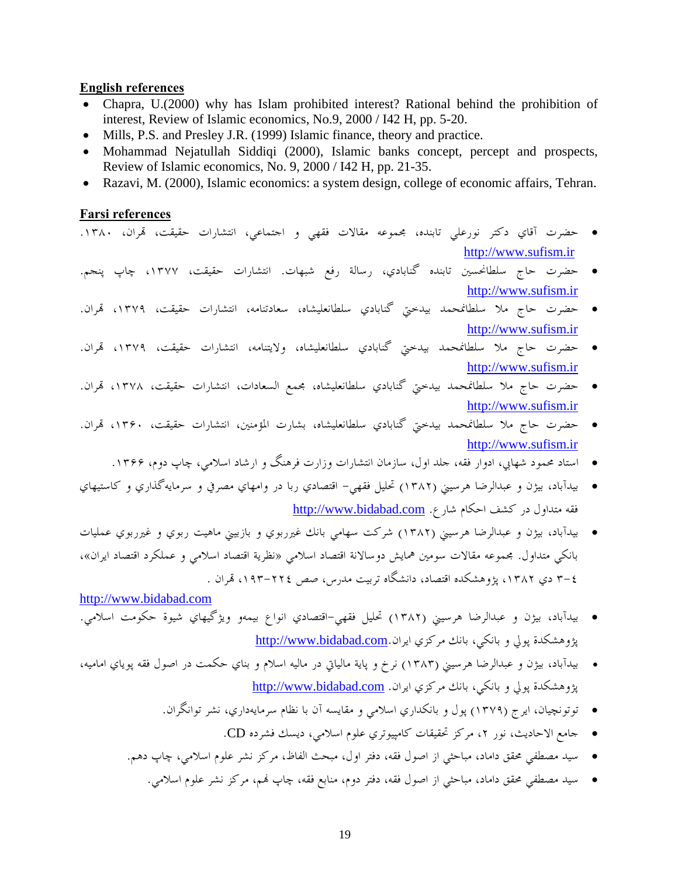## **English references**

- Chapra, U.(2000) why has Islam prohibited interest? Rational behind the prohibition of interest, Review of Islamic economics, No.9, 2000 / I42 H, pp. 5-20.
- Mills, P.S. and Presley J.R. (1999) Islamic finance, theory and practice.
- Mohammad Nejatullah Siddiqi (2000), Islamic banks concept, percept and prospects, Review of Islamic economics, No. 9, 2000 / I42 H, pp. 21-35.
- Razavi, M. (2000), Islamic economics: a system design, college of economic affairs, Tehran.

#### **Farsi references**

- حضرت آقاي دكتر نورعلي تابنده، مجموعه مقالات فقهي و اجتماعي، انتشارات حقيقت، هتران، .۱۳۸۰ http://www.sufism.ir
- حضرت حاج سلطانحسين تابنده گنابادي، رسالة رفع شبهات. انتشارات حقيقت، ،١٣٧٧ چاپ پنجم. http://www.sufism.ir
- حضرت حاج ملا سلطانمحمد بيدختي گنابادي سلطانعليشاه، سعادتنامه، انتشارات حقيقت، ،۱۳۷۹ هتران. http://www.sufism.ir
- حضرت حاج ملا سلطانمحمد بيدختي گنابادي سلطانعليشاه، ولايتنامه، انتشارات حقيقت، ،۱۳۷۹ هتران. http://www.sufism.ir
- حضرت حاج ملا سلطانمحمد بيدختي گنابادي سلطانعليشاه، مجمع السعادات، انتشارات حقيقت، ،۱۳۷۸ هتران. http://www.sufism.ir
- حضرت حاج ملا سلطانمحمد بيدختي گنابادي سلطانعليشاه، بشارت المؤمنين، انتشارات حقيقت، ،۱۳۶۰ هتران. http://www.sufism.ir
	- استاد محمود شهابي، ادوار فقه، جلد اول، سازمان انتشارات وزارت فرهنگ و ارشاد اسلامي، چاپ دوم، .۱۳۶۶
- بيدآباد، بيژن و عبدالرضا هرسيني (١٣٨٢) تحليل فقهي- اقتصادي ربا در وامهاي مصرفي و سرمايهگذاري و كاستيهاي فقه متداول در كشف احكام شارع. http://www.bidabad.com
- بيدآباد، بيژن و عبدالرضا هرسيني (١٣٨٢) شركت سهامي بانك غيرربوي و بازبيني ماهيت ربوي و غيرربوي عمليات بانكي متداول. مجموعه مقالات سومين همايش دوسالانة اقتصاد اسلامي «نظرية اقتصاد اسلامي و عملكرد اقتصاد ايران»، ٤-٣ دي ١٣٨٢، پژوهشكده اقتصاد، دانشگاه تربيت مدرس، صص ٢٢٤–١٩٣، تمران .

http://www.bidabad.com

- بيدآباد، بيژن و عبدالرضا هرسيني (١٣٨٢) تحليل فقهي-اقتصادي انواع بيمهو ويژگيهاي شيوة حكومت اسلامي. پژوهشكدة پولي و بانكي، بانك مركزي ايران.http://www.bidabad.com
- بيدآباد، بيژن و عبدالرضا هرسيني (١٣٨٣) نرخ و پاية مالياتي در ماليه اسلام و بناي حكمت در اصول فقه پوياي اماميه، پژوهشكدة پولي و بانكي، بانك مركزي ايران. http://www.bidabad.com
	- توتونچيان، ايرج (١٣٧٩) پول و بانكداري اسلامي و مقايسه آن با نظام سرمايهداري، نشر توانگران.
		- جامع الاحاديث، نور ،۲ مركز تحقيقات كامپيوتري علوم اسلامي، ديسك فشرده CD.
	- سيد مصطفي محقق داماد، مباحثي از اصول فقه، دفتر اول، مبحث الفاظ، مركز نشر علوم اسلامي، چاپ دهم.
		- سيد مصطفي محقق داماد، مباحثي از اصول فقه، دفتر دوم، منابع فقه، چاپ هنم، مركز نشر علوم اسلامي.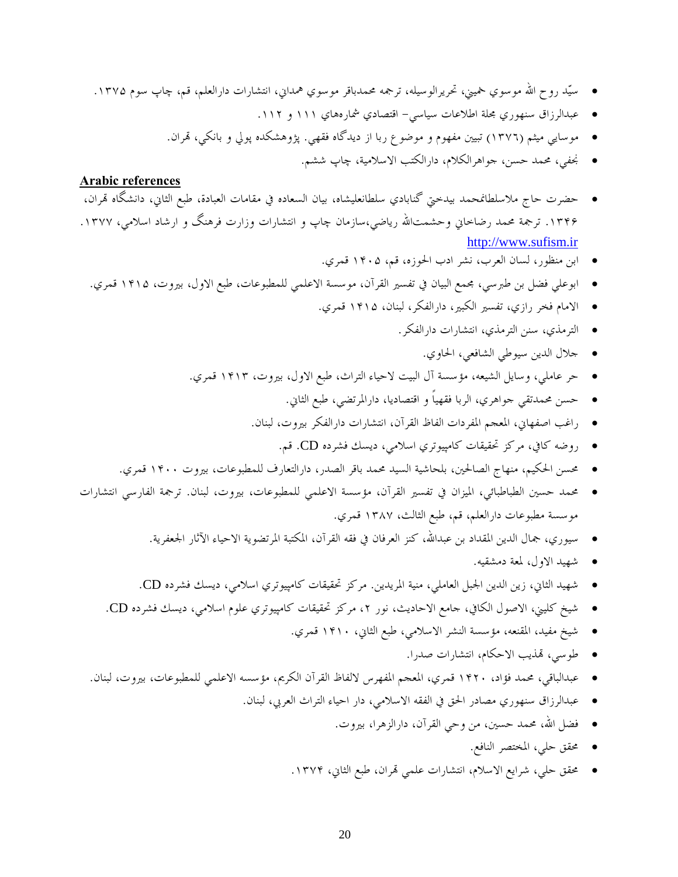- سيّد روح االله موسوي خميني، تحريرالوسيله، ترجمه محمدباقر موسوي همداني، انتشارات دارالعلم، قم، چاپ سوم .۱۳۷۵
	- عبدالرزاق سنهوري مجلة اطلاعات سياسي- اقتصادي شمارههاي ١١١ و .١١٢
	- موسايي ميثم (١٣٧٦) تبيين مفهوم و موضوع ربا از ديدگاه فقهي. پژوهشكده پولي و بانكي، هتران.
		- نجفي، محمد حسن، جواهرالكلام، دارالكتب الاسلامية، چاپ ششم.

## **Arabic references**

- حضرت حاج ملاسلطانمحمد بيدختي گنابادي سلطانعليشاه، بيان السعاده في مقامات العبادة، طبع الثاني، دانشگاه هتران، ۱۳۴۶. ترجمة محمد رضاحاني وحشمتالله رياضي،سازمان چاپ و انتشارات وزارت فرهنگ و ارشاد اسلامي، ۱۳۷۷. http://www.sufism.ir
	- ابن منظور، لسان العرب، نشر ادب الحوزه، قم، ۱۴۰۵ قمري.
	- ابوعلي فضل بن طبرسي، مجمع البيان في تفسير القرآن، موسسة الاعلمي للمطبوعات، طبع الاول، بيروت، ۱۴۱۵ قمري.
		- الامام فخر رازي، تفسير الكبير، دارالفكر، لبنان، ۱۴۱۵ قمري.
			- الترمذي، سنن الترمذي، انتشارات دارالفكر.
				- جلال الدين سيوطي الشافعي، الحاوي.
		- حر عاملي، وسايل الشيعه، مؤسسة آل البيت لاحياء التراث، طبع الاول، بيروت، ۱۴۱۳ قمري.
			- حسن محمدتقي جواهري، الربا فقهياً و اقتصاديا، دارالمرتضي، طبع الثاني.
			- راغب اصفهاني، المعجم المفردات الفاظ القرآن، انتشارات دارالفكر بيروت، لبنان.
				- روضه كافي، مركز تحقيقات كامپيوتري اسلامي، ديسك فشرده CD. قم.
		- محسن الحكيم، منهاج الصالحين، بلحاشية السيد محمد باقر الصدر، دارالتعارف للمطبوعات، بيروت ۱۴۰۰ قمري.
- محمد حسين الطباطبائي، الميزان في تفسير القرآن، مؤسسة الاعلمي للمطبوعات، بيروت، لبنان. ترجمة الفارسي انتشارات موسسة مطبوعات دارالعلم، قم، طبع الثالث، ۱۳۸۷ قمري.
	- سيوري، جمال الدين المقداد بن عبداالله، كنز العرفان في فقه القرآن، المكتبة المرتضوية الاحياء الآثار الجعفرية.
		- شهيد الاول، لمعة دمشقيه.
	- شهيد الثاني، زين الدين الجبل العاملي، منية المريدين. مركز تحقيقات كامپيوتري اسلامي، ديسك فشرده CD.
	- شيخ كليني، الاصول الكافي، جامع الاحاديث، نور ،۲ مركز تحقيقات كامپيوتري علوم اسلامي، ديسك فشرده CD.
		- شيخ مفيد، المقنعه، مؤسسة النشر الاسلامي، طبع الثاني، ۱۴۱۰ قمري.
			- طوسي، هتذيب الاحكام، انتشارات صدرا.
	- عبدالباقي، محمد فؤاد، ۱۴۲۰ قمري، المعجم المفهرس لالفاظ القرآن الكريم، مؤسسه الاعلمي للمطبوعات، بيروت، لبنان.
		- عبدالرزاق سنهوري مصادر الحق في الفقه الاسلامي، دار احياء التراث العربي، لبنان.
			- فضل االله، محمد حسين، من وحي القرآن، دارالزهرا، بيروت.
				- محقق حلي، المختصر النافع.
			- محقق حلي، شرايع الاسلام، انتشارات علمي هتران، طبع الثاني، .۱۳۷۴